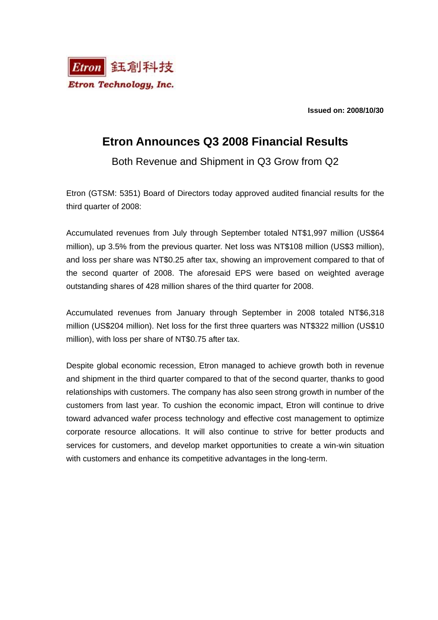

**Issued on: 2008/10/30** 

## **Etron Announces Q3 2008 Financial Results**

Both Revenue and Shipment in Q3 Grow from Q2

Etron (GTSM: 5351) Board of Directors today approved audited financial results for the third quarter of 2008:

Accumulated revenues from July through September totaled NT\$1,997 million (US\$64 million), up 3.5% from the previous quarter. Net loss was NT\$108 million (US\$3 million), and loss per share was NT\$0.25 after tax, showing an improvement compared to that of the second quarter of 2008. The aforesaid EPS were based on weighted average outstanding shares of 428 million shares of the third quarter for 2008.

Accumulated revenues from January through September in 2008 totaled NT\$6,318 million (US\$204 million). Net loss for the first three quarters was NT\$322 million (US\$10 million), with loss per share of NT\$0.75 after tax.

Despite global economic recession, Etron managed to achieve growth both in revenue and shipment in the third quarter compared to that of the second quarter, thanks to good relationships with customers. The company has also seen strong growth in number of the customers from last year. To cushion the economic impact, Etron will continue to drive toward advanced wafer process technology and effective cost management to optimize corporate resource allocations. It will also continue to strive for better products and services for customers, and develop market opportunities to create a win-win situation with customers and enhance its competitive advantages in the long-term.